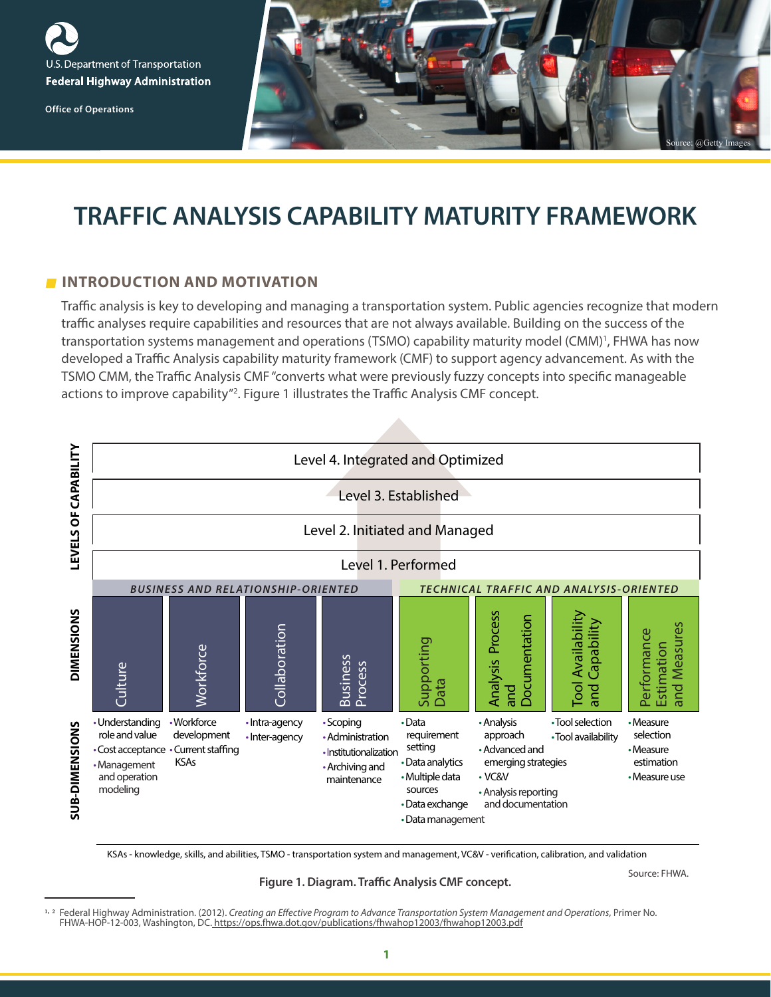

**Office of Operations** 



# **TRAFFIC ANALYSIS CAPABILITY MATURITY FRAMEWORK**

#### **INTRODUCTION AND MOTIVATION**

Traffic analysis is key to developing and managing a transportation system. Public agencies recognize that modern traffic analyses require capabilities and resources that are not always available. Building on the success of the transportation systems management and operations (TSMO) capability maturity model (CMM)<sup>1</sup>, FHWA has now developed a Traffic Analysis capability maturity framework (CMF) to support agency advancement. As with the TSMO CMM, the Traffic Analysis CMF "converts what were previously fuzzy concepts into specific manageable actions to improve capability"<sup>2</sup>. Figure 1 illustrates the Traffic Analysis CMF concept.



KSAs - knowledge, skills, and abilities, TSMO - transportation system and management, VC&V - verification, calibration, and validation

**Figure 1. Diagram. Traffic Analysis CMF concept.**

Source: FHWA.

<sup>1, &</sup>lt;sup>2</sup> Federal Highway Administration. (2012). *Creating an Effective Program to Advance Transportation System Management and Operations*, Primer No. FHWA-HOP-12-003, Washington, DC. [https://ops.fhwa.dot.gov/publications/fhwahop12003/fhwahop12003.pdf](https://ops.fhwa.dot.gov/publications/fhwahop12003/fhwahop12003.pdf
)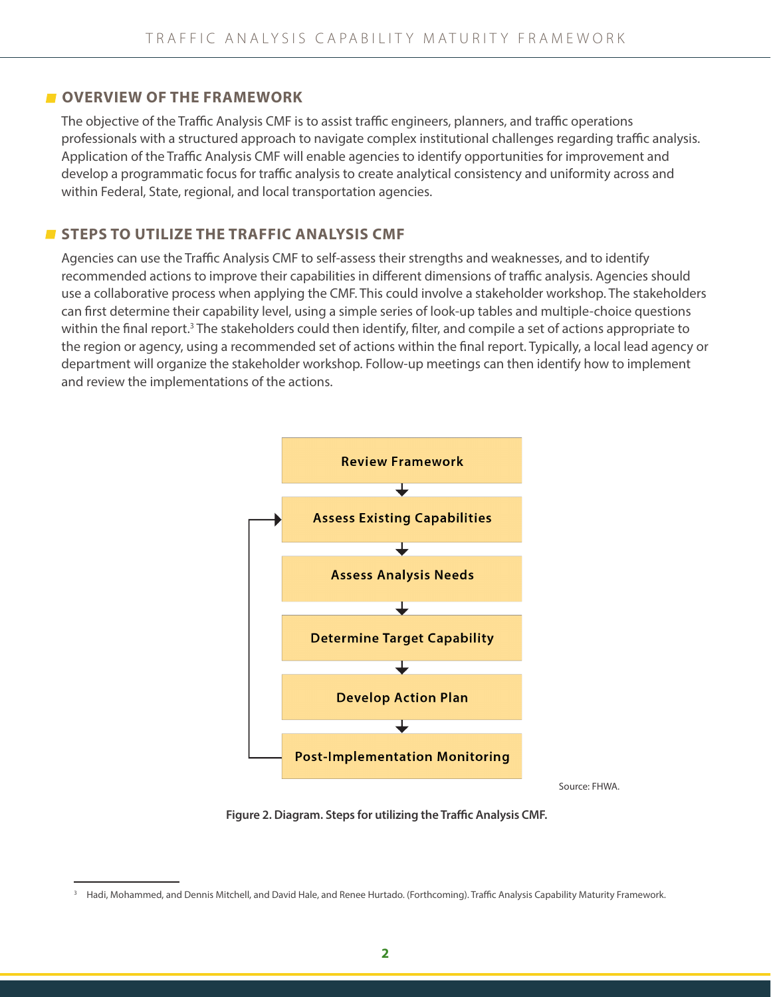#### **COVERVIEW OF THE FRAMEWORK**

The objective of the Traffic Analysis CMF is to assist traffic engineers, planners, and traffic operations professionals with a structured approach to navigate complex institutional challenges regarding traffic analysis. Application of the Traffic Analysis CMF will enable agencies to identify opportunities for improvement and develop a programmatic focus for traffic analysis to create analytical consistency and uniformity across and within Federal, State, regional, and local transportation agencies.

## **STEPS TO UTILIZE THE TRAFFIC ANALYSIS CMF**

Agencies can use the Traffic Analysis CMF to self-assess their strengths and weaknesses, and to identify recommended actions to improve their capabilities in different dimensions of traffic analysis. Agencies should use a collaborative process when applying the CMF. This could involve a stakeholder workshop. The stakeholders can first determine their capability level, using a simple series of look-up tables and multiple-choice questions within the final report.<sup>3</sup> The stakeholders could then identify, filter, and compile a set of actions appropriate to the region or agency, using a recommended set of actions within the final report. Typically, a local lead agency or department will organize the stakeholder workshop. Follow-up meetings can then identify how to implement and review the implementations of the actions.



**Figure 2. Diagram. Steps for utilizing the Traffic Analysis CMF.**

<sup>&</sup>lt;sup>3</sup> Hadi, Mohammed, and Dennis Mitchell, and David Hale, and Renee Hurtado. (Forthcoming). Traffic Analysis Capability Maturity Framework.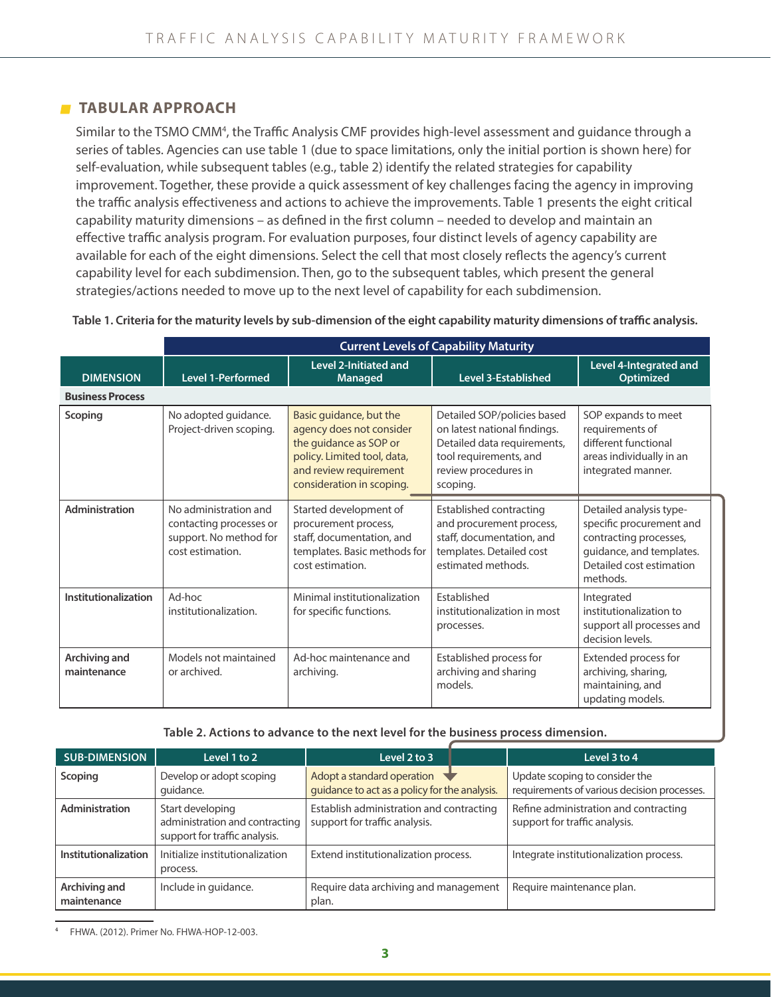#### **TABULAR APPROACH**

Similar to the TSMO CMM<sup>4</sup>, the Traffic Analysis CMF provides high-level assessment and guidance through a series of tables. Agencies can use table 1 (due to space limitations, only the initial portion is shown here) for self-evaluation, while subsequent tables (e.g., table 2) identify the related strategies for capability improvement. Together, these provide a quick assessment of key challenges facing the agency in improving the traffic analysis effectiveness and actions to achieve the improvements. Table 1 presents the eight critical capability maturity dimensions – as defined in the first column – needed to develop and maintain an effective traffic analysis program. For evaluation purposes, four distinct levels of agency capability are available for each of the eight dimensions. Select the cell that most closely reflects the agency's current capability level for each subdimension. Then, go to the subsequent tables, which present the general strategies/actions needed to move up to the next level of capability for each subdimension.

|                              | <b>Current Levels of Capability Maturity</b>                                                   |                                                                                                                                                                     |                                                                                                                                                          |                                                                                                                                                   |  |
|------------------------------|------------------------------------------------------------------------------------------------|---------------------------------------------------------------------------------------------------------------------------------------------------------------------|----------------------------------------------------------------------------------------------------------------------------------------------------------|---------------------------------------------------------------------------------------------------------------------------------------------------|--|
| <b>DIMENSION</b>             | <b>Level 1-Performed</b>                                                                       | <b>Level 2-Initiated and</b><br><b>Managed</b>                                                                                                                      | <b>Level 3-Established</b>                                                                                                                               | Level 4-Integrated and<br><b>Optimized</b>                                                                                                        |  |
| <b>Business Process</b>      |                                                                                                |                                                                                                                                                                     |                                                                                                                                                          |                                                                                                                                                   |  |
| Scoping                      | No adopted guidance.<br>Project-driven scoping.                                                | Basic guidance, but the<br>agency does not consider<br>the guidance as SOP or<br>policy. Limited tool, data,<br>and review requirement<br>consideration in scoping. | Detailed SOP/policies based<br>on latest national findings.<br>Detailed data requirements,<br>tool requirements, and<br>review procedures in<br>scoping. | SOP expands to meet<br>requirements of<br>different functional<br>areas individually in an<br>integrated manner.                                  |  |
| Administration               | No administration and<br>contacting processes or<br>support. No method for<br>cost estimation. | Started development of<br>procurement process,<br>staff, documentation, and<br>templates. Basic methods for<br>cost estimation.                                     | Established contracting<br>and procurement process,<br>staff, documentation, and<br>templates. Detailed cost<br>estimated methods.                       | Detailed analysis type-<br>specific procurement and<br>contracting processes,<br>guidance, and templates.<br>Detailed cost estimation<br>methods. |  |
| Institutionalization         | Ad-hoc<br>institutionalization.                                                                | Minimal institutionalization<br>for specific functions.                                                                                                             | Established<br>institutionalization in most<br>processes.                                                                                                | Integrated<br>institutionalization to<br>support all processes and<br>decision levels.                                                            |  |
| Archiving and<br>maintenance | Models not maintained<br>or archived.                                                          | Ad-hoc maintenance and<br>archiving.                                                                                                                                | Established process for<br>archiving and sharing<br>models.                                                                                              | Extended process for<br>archiving, sharing,<br>maintaining, and<br>updating models.                                                               |  |

**Table 1. Criteria for the maturity levels by sub-dimension of the eight capability maturity dimensions of traffic analysis.**

**Table 2. Actions to advance to the next level for the business process dimension.**

| <b>SUB-DIMENSION</b>         | Level 1 to 2                                                                        | Level 2 to 3                                                                                      | Level 3 to 4                                                                  |
|------------------------------|-------------------------------------------------------------------------------------|---------------------------------------------------------------------------------------------------|-------------------------------------------------------------------------------|
| <b>Scoping</b>               | Develop or adopt scoping<br>quidance.                                               | Adopt a standard operation $\blacktriangleright$<br>guidance to act as a policy for the analysis. | Update scoping to consider the<br>requirements of various decision processes. |
| Administration               | Start developing<br>administration and contracting<br>support for traffic analysis. | Establish administration and contracting<br>support for traffic analysis.                         | Refine administration and contracting<br>support for traffic analysis.        |
| Institutionalization         | Initialize institutionalization<br>process.                                         | Extend institutionalization process.                                                              | Integrate institutionalization process.                                       |
| Archiving and<br>maintenance | Include in guidance.                                                                | Require data archiving and management<br>plan.                                                    | Require maintenance plan.                                                     |

4 FHWA. (2012). Primer No. FHWA-HOP-12-003.